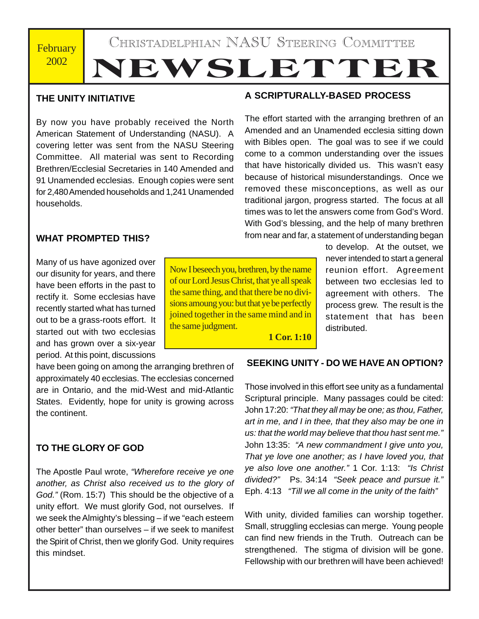**February** 2002

# **NEWSLETTER** CHRISTADELPHIAN NASU STEERING COMMITTEE

### **THE UNITY INITIATIVE**

By now you have probably received the North American Statement of Understanding (NASU). A covering letter was sent from the NASU Steering Committee. All material was sent to Recording Brethren/Ecclesial Secretaries in 140 Amended and 91 Unamended ecclesias. Enough copies were sent for 2,480 Amended households and 1,241 Unamended households.

### **A SCRIPTURALLY-BASED PROCESS**

The effort started with the arranging brethren of an Amended and an Unamended ecclesia sitting down with Bibles open. The goal was to see if we could come to a common understanding over the issues that have historically divided us. This wasn't easy because of historical misunderstandings. Once we removed these misconceptions, as well as our traditional jargon, progress started. The focus at all times was to let the answers come from God's Word. With God's blessing, and the help of many brethren from near and far, a statement of understanding began

### **WHAT PROMPTED THIS?**

Many of us have agonized over our disunity for years, and there have been efforts in the past to rectify it. Some ecclesias have recently started what has turned out to be a grass-roots effort. It started out with two ecclesias and has grown over a six-year period. At this point, discussions

have been going on among the arranging brethren of approximately 40 ecclesias. The ecclesias concerned are in Ontario, and the mid-West and mid-Atlantic States. Evidently, hope for unity is growing across the continent.

### **TO THE GLORY OF GOD**

The Apostle Paul wrote, *"Wherefore receive ye one another, as Christ also received us to the glory of God."* (Rom. 15:7) This should be the objective of a unity effort. We must glorify God, not ourselves. If we seek the Almighty's blessing – if we "each esteem other better" than ourselves – if we seek to manifest the Spirit of Christ, then we glorify God. Unity requires this mindset.

Now I beseech you, brethren, by the name of our Lord Jesus Christ, that ye all speak the same thing, and that there be no divisions amoung you: but that ye be perfectly joined together in the same mind and in the same judgment.

to develop. At the outset, we never intended to start a general reunion effort. Agreement between two ecclesias led to agreement with others. The process grew. The result is the statement that has been distributed.

**1 Cor. 1:10**

### **SEEKING UNITY - DO WE HAVE AN OPTION?**

Those involved in this effort see unity as a fundamental Scriptural principle. Many passages could be cited: John 17:20: *"That they all may be one; as thou, Father, art in me, and I in thee, that they also may be one in us: that the world may believe that thou hast sent me."* John 13:35: *"A new commandment I give unto you, That ye love one another; as I have loved you, that ye also love one another."* 1 Cor. 1:13: *"Is Christ divided?"* Ps. 34:14 *"Seek peace and pursue it."* Eph. 4:13 *"Till we all come in the unity of the faith"*

With unity, divided families can worship together. Small, struggling ecclesias can merge. Young people can find new friends in the Truth. Outreach can be strengthened. The stigma of division will be gone. Fellowship with our brethren will have been achieved!